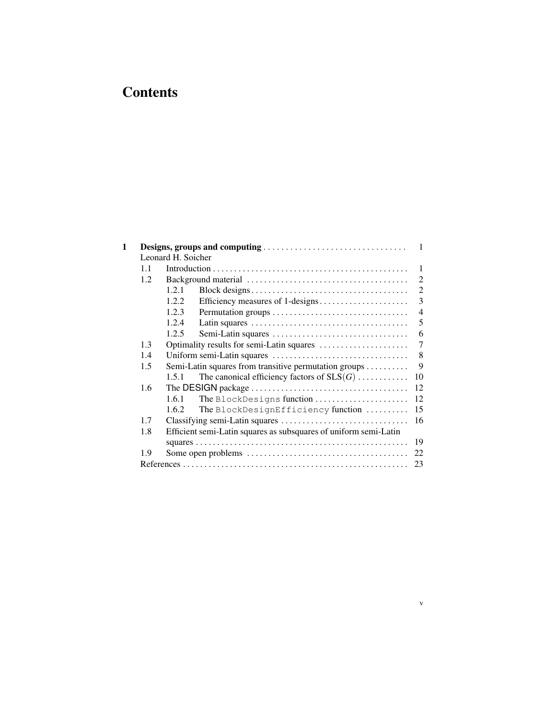# **Contents**

| 1 |                                                                                           |                                                                     | 1                           |
|---|-------------------------------------------------------------------------------------------|---------------------------------------------------------------------|-----------------------------|
|   |                                                                                           | Leonard H. Soicher                                                  |                             |
|   | 1.1                                                                                       |                                                                     | 1                           |
|   | 1.2                                                                                       |                                                                     | 2                           |
|   |                                                                                           | 1.2.1                                                               | $\mathcal{D}_{\mathcal{L}}$ |
|   |                                                                                           | 1.2.2.<br>Efficiency measures of 1-designs                          | 3                           |
|   |                                                                                           | 1.2.3                                                               | $\overline{4}$              |
|   |                                                                                           | 1.2.4                                                               | 5                           |
|   |                                                                                           | 1.2.5                                                               | 6                           |
|   | 1.3                                                                                       |                                                                     | 7                           |
|   | 1.4                                                                                       |                                                                     | 8                           |
|   | 1.5                                                                                       | Semi-Latin squares from transitive permutation groups $\dots \dots$ | 9                           |
|   |                                                                                           | The canonical efficiency factors of $SLS(G)$<br>1.5.1               |                             |
|   | 1.6                                                                                       |                                                                     |                             |
|   |                                                                                           | 1.6.1<br>The BlockDesigns function                                  |                             |
|   |                                                                                           | 1.6.2<br>The BlockDesignEfficiency function                         |                             |
|   | 1.7                                                                                       |                                                                     |                             |
|   | 1.8                                                                                       | Efficient semi-Latin squares as subsquares of uniform semi-Latin    |                             |
|   |                                                                                           |                                                                     |                             |
|   | 1.9                                                                                       |                                                                     |                             |
|   |                                                                                           |                                                                     |                             |
|   | Optimality results for semi-Latin squares<br>10<br>12<br>12<br>15<br>16<br>19<br>22<br>23 |                                                                     |                             |

v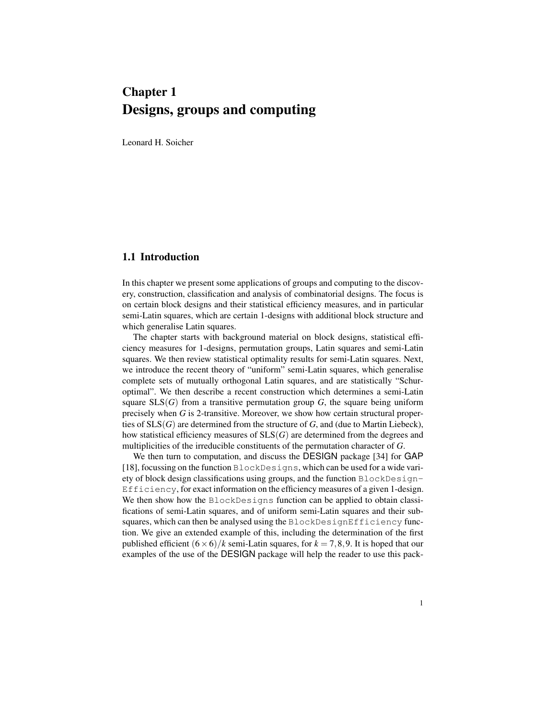# Chapter 1 Designs, groups and computing

Leonard H. Soicher

### 1.1 Introduction

In this chapter we present some applications of groups and computing to the discovery, construction, classification and analysis of combinatorial designs. The focus is on certain block designs and their statistical efficiency measures, and in particular semi-Latin squares, which are certain 1-designs with additional block structure and which generalise Latin squares.

The chapter starts with background material on block designs, statistical efficiency measures for 1-designs, permutation groups, Latin squares and semi-Latin squares. We then review statistical optimality results for semi-Latin squares. Next, we introduce the recent theory of "uniform" semi-Latin squares, which generalise complete sets of mutually orthogonal Latin squares, and are statistically "Schuroptimal". We then describe a recent construction which determines a semi-Latin square  $SLS(G)$  from a transitive permutation group G, the square being uniform precisely when *G* is 2-transitive. Moreover, we show how certain structural properties of SLS(*G*) are determined from the structure of *G*, and (due to Martin Liebeck), how statistical efficiency measures of SLS(*G*) are determined from the degrees and multiplicities of the irreducible constituents of the permutation character of *G*.

We then turn to computation, and discuss the DESIGN package [34] for GAP [18], focussing on the function BlockDesigns, which can be used for a wide variety of block design classifications using groups, and the function BlockDesign-Efficiency, for exact information on the efficiency measures of a given 1-design. We then show how the BlockDesigns function can be applied to obtain classifications of semi-Latin squares, and of uniform semi-Latin squares and their subsquares, which can then be analysed using the BlockDesignEfficiency function. We give an extended example of this, including the determination of the first published efficient  $(6 \times 6)/k$  semi-Latin squares, for  $k = 7,8,9$ . It is hoped that our examples of the use of the DESIGN package will help the reader to use this pack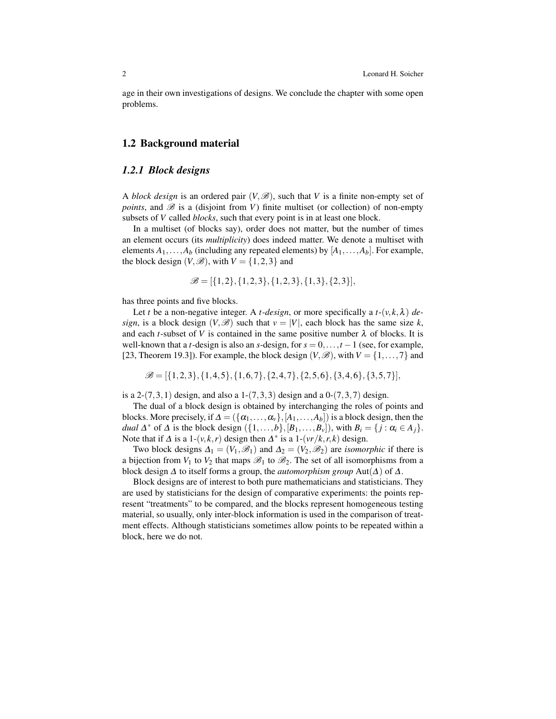age in their own investigations of designs. We conclude the chapter with some open problems.

### 1.2 Background material

### *1.2.1 Block designs*

A *block design* is an ordered pair  $(V, \mathcal{B})$ , such that V is a finite non-empty set of *points*, and  $\mathscr B$  is a (disjoint from *V*) finite multiset (or collection) of non-empty subsets of *V* called *blocks*, such that every point is in at least one block.

In a multiset (of blocks say), order does not matter, but the number of times an element occurs (its *multiplicity*) does indeed matter. We denote a multiset with elements  $A_1, \ldots, A_b$  (including any repeated elements) by  $[A_1, \ldots, A_b]$ . For example, the block design  $(V, \mathscr{B})$ , with  $V = \{1, 2, 3\}$  and

$$
\mathscr{B} = [\{1,2\}, \{1,2,3\}, \{1,2,3\}, \{1,3\}, \{2,3\}],
$$

has three points and five blocks.

Let *t* be a non-negative integer. A *t*-design, or more specifically a  $t$ - $(v, k, \lambda)$  de*sign*, is a block design  $(V, \mathscr{B})$  such that  $v = |V|$ , each block has the same size k, and each *t*-subset of *V* is contained in the same positive number  $\lambda$  of blocks. It is well-known that a *t*-design is also an *s*-design, for  $s = 0, \ldots, t - 1$  (see, for example, [23, Theorem 19.3]). For example, the block design  $(V, \mathscr{B})$ , with  $V = \{1, \ldots, 7\}$  and

$$
\mathscr{B} = [\{1,2,3\}, \{1,4,5\}, \{1,6,7\}, \{2,4,7\}, \{2,5,6\}, \{3,4,6\}, \{3,5,7\}],
$$

is a 2- $(7,3,1)$  design, and also a 1- $(7,3,3)$  design and a 0- $(7,3,7)$  design.

The dual of a block design is obtained by interchanging the roles of points and blocks. More precisely, if  $\Delta = (\{\alpha_1, \ldots, \alpha_v\}, [A_1, \ldots, A_b])$  is a block design, then the *dual*  $\Delta^*$  of  $\Delta$  is the block design  $(\{1,\ldots,b\},[B_1,\ldots,B_\nu]),$  with  $B_i = \{j : \alpha_i \in A_j\}.$ Note that if  $\Delta$  is a 1-(*v*, $k$ , $r$ ) design then  $\Delta^*$  is a 1-(*vr*/ $k$ , $r$ , $k$ ) design.

Two block designs  $\Delta_1 = (V_1, \mathcal{B}_1)$  and  $\Delta_2 = (V_2, \mathcal{B}_2)$  are *isomorphic* if there is a bijection from  $V_1$  to  $V_2$  that maps  $\mathscr{B}_1$  to  $\mathscr{B}_2$ . The set of all isomorphisms from a block design ∆ to itself forms a group, the *automorphism group* Aut(∆) of ∆.

Block designs are of interest to both pure mathematicians and statisticians. They are used by statisticians for the design of comparative experiments: the points represent "treatments" to be compared, and the blocks represent homogeneous testing material, so usually, only inter-block information is used in the comparison of treatment effects. Although statisticians sometimes allow points to be repeated within a block, here we do not.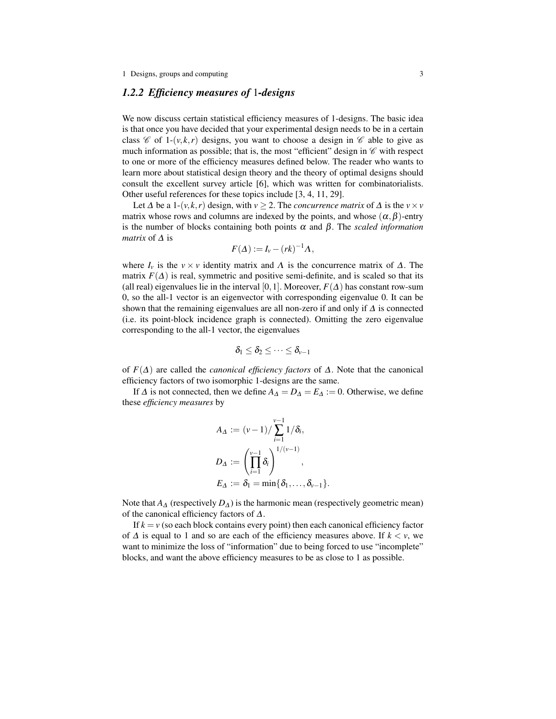### *1.2.2 Efficiency measures of* 1*-designs*

We now discuss certain statistical efficiency measures of 1-designs. The basic idea is that once you have decided that your experimental design needs to be in a certain class  $\mathscr C$  of 1-(*v*, *k*, *r*) designs, you want to choose a design in  $\mathscr C$  able to give as much information as possible; that is, the most "efficient" design in  $\mathscr C$  with respect to one or more of the efficiency measures defined below. The reader who wants to learn more about statistical design theory and the theory of optimal designs should consult the excellent survey article [6], which was written for combinatorialists. Other useful references for these topics include [3, 4, 11, 29].

Let  $\Delta$  be a 1-(*v*,*k*,*r*) design, with *v* ≥ 2. The *concurrence matrix* of  $\Delta$  is the *v* × *v* matrix whose rows and columns are indexed by the points, and whose  $(\alpha, \beta)$ -entry is the number of blocks containing both points  $\alpha$  and  $\beta$ . The *scaled information matrix* of ∆ is

$$
F(\Delta) := I_{v} - (rk)^{-1} \Lambda,
$$

where  $I_v$  is the  $v \times v$  identity matrix and  $\Lambda$  is the concurrence matrix of  $\Delta$ . The matrix  $F(\Delta)$  is real, symmetric and positive semi-definite, and is scaled so that its (all real) eigenvalues lie in the interval [0,1]. Moreover,  $F(\Delta)$  has constant row-sum 0, so the all-1 vector is an eigenvector with corresponding eigenvalue 0. It can be shown that the remaining eigenvalues are all non-zero if and only if  $\Delta$  is connected (i.e. its point-block incidence graph is connected). Omitting the zero eigenvalue corresponding to the all-1 vector, the eigenvalues

$$
\delta_1\leq \delta_2\leq \cdots \leq \delta_{\nu-1}
$$

of *F*(∆) are called the *canonical efficiency factors* of ∆. Note that the canonical efficiency factors of two isomorphic 1-designs are the same.

If  $\Delta$  is not connected, then we define  $A_{\Delta} = D_{\Delta} = E_{\Delta} := 0$ . Otherwise, we define these *efficiency measures* by

$$
A_{\Delta} := (\nu - 1) / \sum_{i=1}^{\nu-1} 1 / \delta_i,
$$
  
\n
$$
D_{\Delta} := \left(\prod_{i=1}^{\nu-1} \delta_i\right)^{1/(\nu-1)},
$$
  
\n
$$
E_{\Delta} := \delta_1 = \min{\{\delta_1, \ldots, \delta_{\nu-1}\}}.
$$

Note that  $A_\Delta$  (respectively  $D_\Delta$ ) is the harmonic mean (respectively geometric mean) of the canonical efficiency factors of ∆.

If  $k = v$  (so each block contains every point) then each canonical efficiency factor of  $\Delta$  is equal to 1 and so are each of the efficiency measures above. If  $k < v$ , we want to minimize the loss of "information" due to being forced to use "incomplete" blocks, and want the above efficiency measures to be as close to 1 as possible.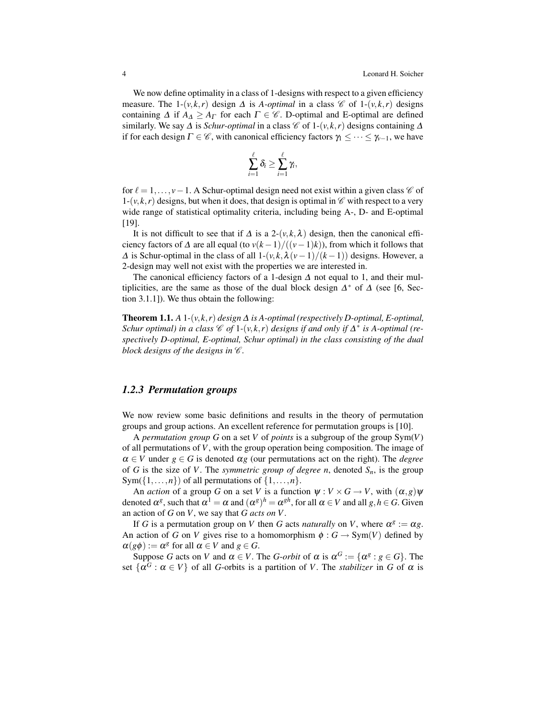We now define optimality in a class of 1-designs with respect to a given efficiency measure. The 1-(*v*,*k*,*r*) design  $\Delta$  is *A-optimal* in a class  $\mathcal{C}$  of 1-(*v*,*k*,*r*) designs containing  $\Delta$  if  $A_{\Delta} \geq A_{\Gamma}$  for each  $\Gamma \in \mathscr{C}$ . D-optimal and E-optimal are defined similarly. We say  $\Delta$  is *Schur-optimal* in a class  $\mathcal C$  of 1-( $v, k, r$ ) designs containing  $\Delta$ if for each design  $\Gamma \in \mathscr{C}$ , with canonical efficiency factors  $\gamma_1 \leq \cdots \leq \gamma_{\nu-1}$ , we have

$$
\sum_{i=1}^{\ell} \delta_i \geq \sum_{i=1}^{\ell} \gamma_i,
$$

for  $\ell = 1, \ldots, \nu - 1$ . A Schur-optimal design need not exist within a given class  $\mathscr C$  of  $1-(v, k, r)$  designs, but when it does, that design is optimal in  $\mathscr C$  with respect to a very wide range of statistical optimality criteria, including being A-, D- and E-optimal [19].

It is not difficult to see that if  $\Delta$  is a 2-( $v, k, \lambda$ ) design, then the canonical efficiency factors of  $\Delta$  are all equal (to  $v(k-1)/(v-1)k$ )), from which it follows that  $\Delta$  is Schur-optimal in the class of all  $1-(v, k, \lambda(v-1)/(k-1))$  designs. However, a 2-design may well not exist with the properties we are interested in.

The canonical efficiency factors of a 1-design  $\Delta$  not equal to 1, and their multiplicities, are the same as those of the dual block design  $\Delta^*$  of  $\Delta$  (see [6, Section 3.1.1]). We thus obtain the following:

**Theorem 1.1.** *A* 1*-*( $v, k, r$ ) *design*  $\Delta$  *is A-optimal* (*respectively D-optimal*, *E-optimal*, *Schur optimal) in a class*  $\mathscr{C}$  *of* 1-(*v*,*k*,*r*) *designs if and only if*  $\Delta^*$  *is A-optimal (respectively D-optimal, E-optimal, Schur optimal) in the class consisting of the dual block designs of the designs in*  $\mathscr C$ *.* 

### *1.2.3 Permutation groups*

We now review some basic definitions and results in the theory of permutation groups and group actions. An excellent reference for permutation groups is [10].

A *permutation group G* on a set *V* of *points* is a subgroup of the group Sym(*V*) of all permutations of *V*, with the group operation being composition. The image of  $\alpha \in V$  under  $g \in G$  is denoted  $\alpha g$  (our permutations act on the right). The *degree* of *G* is the size of *V*. The *symmetric group of degree n*, denoted  $S_n$ , is the group  $Sym({1, \ldots, n})$  of all permutations of  ${1, \ldots, n}$ .

An *action* of a group *G* on a set *V* is a function  $\psi : V \times G \to V$ , with  $(\alpha, g)\psi$ denoted  $\alpha^g$ , such that  $\alpha^1 = \alpha$  and  $(\alpha^g)^h = \alpha^{gh}$ , for all  $\alpha \in V$  and all  $g, h \in G$ . Given an action of *G* on *V*, we say that *G acts on V*.

If *G* is a permutation group on *V* then *G* acts *naturally* on *V*, where  $\alpha^g := \alpha g$ . An action of *G* on *V* gives rise to a homomorphism  $\phi$  :  $G \rightarrow Sym(V)$  defined by  $\alpha(g\phi) := \alpha^g$  for all  $\alpha \in V$  and  $g \in G$ .

Suppose *G* acts on *V* and  $\alpha \in V$ . The *G*-*orbit* of  $\alpha$  is  $\alpha^G := {\alpha^g : g \in G}$ . The set  $\{\alpha^G : \alpha \in V\}$  of all *G*-orbits is a partition of *V*. The *stabilizer* in *G* of  $\alpha$  is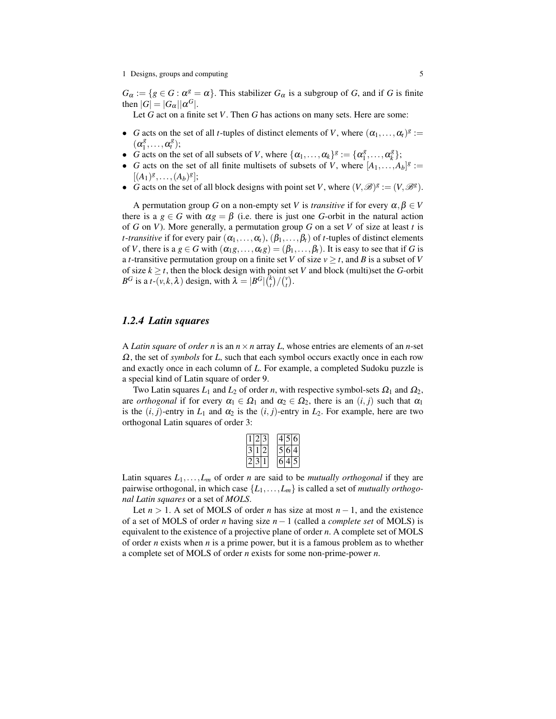$G_{\alpha} := \{ g \in G : \alpha^{g} = \alpha \}.$  This stabilizer  $G_{\alpha}$  is a subgroup of *G*, and if *G* is finite then  $|G| = |G_{\alpha}| |\alpha^G|$ .

Let *G* act on a finite set *V*. Then *G* has actions on many sets. Here are some:

- *G* acts on the set of all *t*-tuples of distinct elements of *V*, where  $(\alpha_1, \dots, \alpha_t)^g :=$  $(\alpha_1^g)$  $\alpha_i^g, \ldots, \alpha_i^g$ );
- *G* acts on the set of all subsets of *V*, where  $\{\alpha_1, \dots, \alpha_k\}^g := \{\alpha_1^g\}$  $\alpha_k^g, \ldots, \alpha_k^g$ *k* };
- *G* acts on the set of all finite multisets of subsets of *V*, where  $[A_1, \ldots, A_b]^g :=$  $[(A_1)^g, \ldots, (A_b)^g];$
- *G* acts on the set of all block designs with point set *V*, where  $(V, \mathcal{B})^g := (V, \mathcal{B}^g)$ .

A permutation group *G* on a non-empty set *V* is *transitive* if for every  $\alpha, \beta \in V$ there is a  $g \in G$  with  $\alpha g = \beta$  (i.e. there is just one *G*-orbit in the natural action of *G* on *V*). More generally, a permutation group *G* on a set *V* of size at least *t* is *t*-*transitive* if for every pair  $(\alpha_1, \ldots, \alpha_t)$ ,  $(\beta_1, \ldots, \beta_t)$  of *t*-tuples of distinct elements of *V*, there is a  $g \in G$  with  $(\alpha_1 g, \ldots, \alpha_t g) = (\beta_1, \ldots, \beta_t)$ . It is easy to see that if *G* is a *t*-transitive permutation group on a finite set *V* of size  $v \geq t$ , and *B* is a subset of *V* of size  $k \geq t$ , then the block design with point set *V* and block (multi)set the *G*-orbit  $B^G$  is a *t*-(*v*, *k*,  $\lambda$ ) design, with  $\lambda = |B^G| \binom{k}{t} / \binom{v}{t}$ .

### *1.2.4 Latin squares*

A *Latin square* of *order n* is an  $n \times n$  array *L*, whose entries are elements of an *n*-set Ω, the set of *symbols* for *L*, such that each symbol occurs exactly once in each row and exactly once in each column of *L*. For example, a completed Sudoku puzzle is a special kind of Latin square of order 9.

Two Latin squares  $L_1$  and  $L_2$  of order *n*, with respective symbol-sets  $\Omega_1$  and  $\Omega_2$ , are *orthogonal* if for every  $\alpha_1 \in \Omega_1$  and  $\alpha_2 \in \Omega_2$ , there is an  $(i, j)$  such that  $\alpha_1$ is the  $(i, j)$ -entry in  $L_1$  and  $\alpha_2$  is the  $(i, j)$ -entry in  $L_2$ . For example, here are two orthogonal Latin squares of order 3:

|  |  | ٠ | $\epsilon$ |
|--|--|---|------------|
|  |  |   |            |
|  |  |   |            |

Latin squares  $L_1, \ldots, L_m$  of order *n* are said to be *mutually orthogonal* if they are pairwise orthogonal, in which case {*L*1,...,*Lm*} is called a set of *mutually orthogonal Latin squares* or a set of *MOLS*.

Let  $n > 1$ . A set of MOLS of order *n* has size at most  $n - 1$ , and the existence of a set of MOLS of order *n* having size *n*−1 (called a *complete set* of MOLS) is equivalent to the existence of a projective plane of order *n*. A complete set of MOLS of order *n* exists when *n* is a prime power, but it is a famous problem as to whether a complete set of MOLS of order *n* exists for some non-prime-power *n*.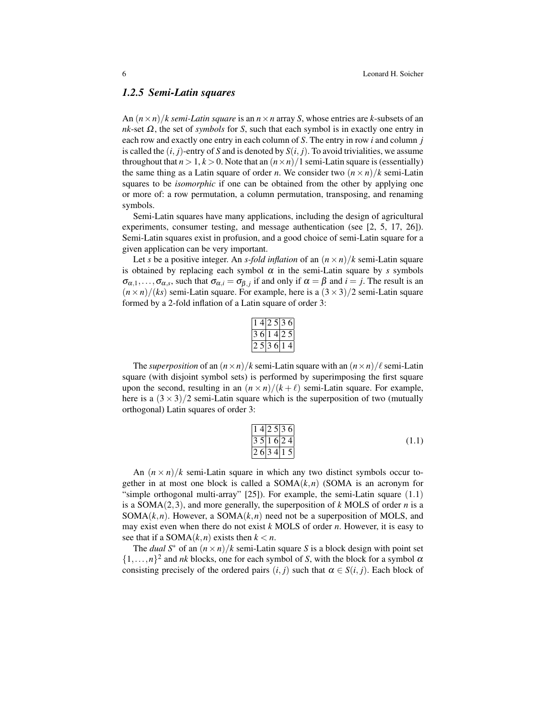### *1.2.5 Semi-Latin squares*

An  $(n \times n)/k$  *semi-Latin square* is an  $n \times n$  array *S*, whose entries are *k*-subsets of an  $nk$ -set  $\Omega$ , the set of *symbols* for *S*, such that each symbol is in exactly one entry in each row and exactly one entry in each column of *S*. The entry in row *i* and column *j* is called the  $(i, j)$ -entry of *S* and is denoted by  $S(i, j)$ . To avoid trivialities, we assume throughout that  $n > 1, k > 0$ . Note that an  $(n \times n)/1$  semi-Latin square is (essentially) the same thing as a Latin square of order *n*. We consider two  $(n \times n)/k$  semi-Latin squares to be *isomorphic* if one can be obtained from the other by applying one or more of: a row permutation, a column permutation, transposing, and renaming symbols.

Semi-Latin squares have many applications, including the design of agricultural experiments, consumer testing, and message authentication (see [2, 5, 17, 26]). Semi-Latin squares exist in profusion, and a good choice of semi-Latin square for a given application can be very important.

Let *s* be a positive integer. An *s-fold inflation* of an  $(n \times n)/k$  semi-Latin square is obtained by replacing each symbol  $\alpha$  in the semi-Latin square by *s* symbols  $\sigma_{\alpha,1},\ldots,\sigma_{\alpha,s}$ , such that  $\sigma_{\alpha,i} = \sigma_{\beta,j}$  if and only if  $\alpha = \beta$  and  $i = j$ . The result is an  $(n \times n)/(ks)$  semi-Latin square. For example, here is a  $(3 \times 3)/2$  semi-Latin square formed by a 2-fold inflation of a Latin square of order 3:

| 1.            | $\overline{4}$ |   | 2.513           |      | 6 |
|---------------|----------------|---|-----------------|------|---|
| 3             |                |   | 6 14            | 12.5 |   |
| $\mathcal{L}$ | $\mathfrak{H}$ | 3 | $6\overline{1}$ |      |   |

The *superposition* of an  $(n \times n)/k$  semi-Latin square with an  $(n \times n)/\ell$  semi-Latin square (with disjoint symbol sets) is performed by superimposing the first square upon the second, resulting in an  $(n \times n)/(k + \ell)$  semi-Latin square. For example, here is a  $(3 \times 3)/2$  semi-Latin square which is the superposition of two (mutually orthogonal) Latin squares of order 3:

$$
\frac{142536}{351624}
$$
\n
$$
\frac{351624}{263415}
$$
\n(1.1)

An  $(n \times n)/k$  semi-Latin square in which any two distinct symbols occur together in at most one block is called a  $SOMA(k,n)$  (SOMA is an acronym for "simple orthogonal multi-array" [25]). For example, the semi-Latin square (1.1) is a SOMA(2,3), and more generally, the superposition of *k* MOLS of order *n* is a SOMA $(k, n)$ . However, a SOMA $(k, n)$  need not be a superposition of MOLS, and may exist even when there do not exist *k* MOLS of order *n*. However, it is easy to see that if a SOMA $(k, n)$  exists then  $k < n$ .

The *dual*  $S^*$  of an  $(n \times n)/k$  semi-Latin square *S* is a block design with point set  $\{1,\ldots,n\}^2$  and *nk* blocks, one for each symbol of *S*, with the block for a symbol  $\alpha$ consisting precisely of the ordered pairs  $(i, j)$  such that  $\alpha \in S(i, j)$ . Each block of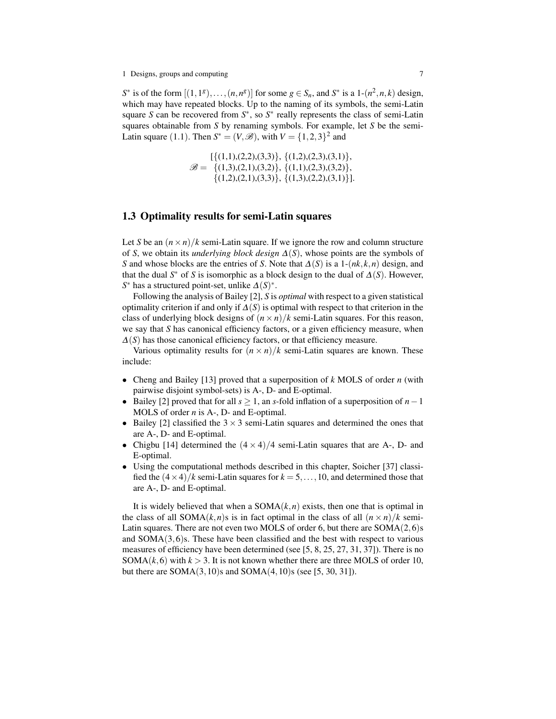*S*<sup>\*</sup> is of the form  $[(1,1^g),..., (n,n^g)]$  for some  $g \in S_n$ , and *S*<sup>\*</sup> is a 1- $(n^2, n, k)$  design, which may have repeated blocks. Up to the naming of its symbols, the semi-Latin square *S* can be recovered from  $S^*$ , so  $S^*$  really represents the class of semi-Latin squares obtainable from *S* by renaming symbols. For example, let *S* be the semi-Latin square (1.1). Then  $S^* = (V, \mathcal{B})$ , with  $V = \{1, 2, 3\}^2$  and

> $\mathscr{B} = \{(1,3),(2,1),(3,2)\}, \{(1,1),(2,3),(3,2)\},\$  $\{\{(1,1),(2,2),(3,3)\},\{(1,2),(2,3),(3,1)\}\$  $\{(1,2),(2,1),(3,3)\}, \{(1,3),(2,2),(3,1)\}.$

### 1.3 Optimality results for semi-Latin squares

Let *S* be an  $(n \times n)/k$  semi-Latin square. If we ignore the row and column structure of *S*, we obtain its *underlying block design* ∆(*S*), whose points are the symbols of *S* and whose blocks are the entries of *S*. Note that  $\Delta(S)$  is a 1- $(nk, k, n)$  design, and that the dual  $S^*$  of *S* is isomorphic as a block design to the dual of  $\Delta(S)$ . However, *S*<sup>\*</sup> has a structured point-set, unlike  $\Delta(S)$ <sup>\*</sup>.

Following the analysis of Bailey [2], *S* is *optimal* with respect to a given statistical optimality criterion if and only if ∆(*S*) is optimal with respect to that criterion in the class of underlying block designs of  $(n \times n)/k$  semi-Latin squares. For this reason, we say that *S* has canonical efficiency factors, or a given efficiency measure, when  $\Delta(S)$  has those canonical efficiency factors, or that efficiency measure.

Various optimality results for  $(n \times n)/k$  semi-Latin squares are known. These include:

- Cheng and Bailey [13] proved that a superposition of *k* MOLS of order *n* (with pairwise disjoint symbol-sets) is A-, D- and E-optimal.
- Bailey [2] proved that for all *s* ≥ 1, an *s*-fold inflation of a superposition of *n*−1 MOLS of order *n* is A-, D- and E-optimal.
- Bailey [2] classified the  $3 \times 3$  semi-Latin squares and determined the ones that are A-, D- and E-optimal.
- Chigbu [14] determined the  $(4 \times 4)/4$  semi-Latin squares that are A-, D- and E-optimal.
- Using the computational methods described in this chapter, Soicher [37] classified the  $(4 \times 4)/k$  semi-Latin squares for  $k = 5, \ldots, 10$ , and determined those that are A-, D- and E-optimal.

It is widely believed that when a  $SOMA(k, n)$  exists, then one that is optimal in the class of all SOMA $(k, n)$ s is in fact optimal in the class of all  $(n \times n)/k$  semi-Latin squares. There are not even two MOLS of order 6, but there are  $SOMA(2,6)$ s and  $SOMA(3,6)$ s. These have been classified and the best with respect to various measures of efficiency have been determined (see [5, 8, 25, 27, 31, 37]). There is no SOMA $(k, 6)$  with  $k > 3$ . It is not known whether there are three MOLS of order 10, but there are  $SOMA(3,10)$ s and  $SOMA(4,10)$ s (see [5, 30, 31]).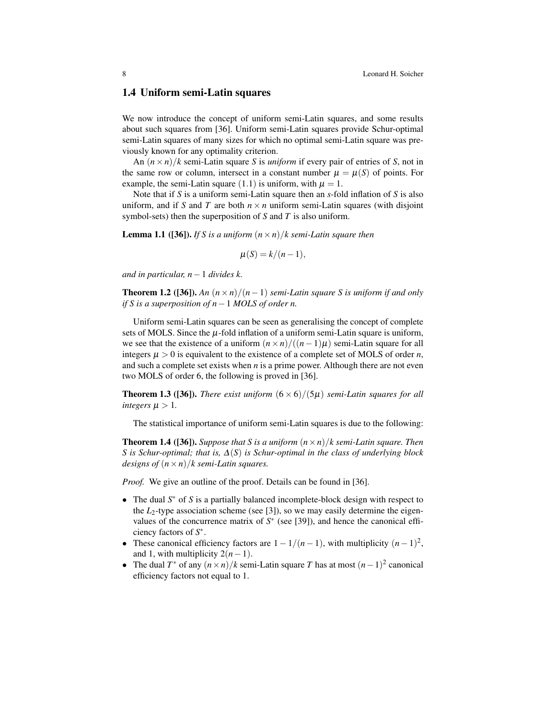### 1.4 Uniform semi-Latin squares

We now introduce the concept of uniform semi-Latin squares, and some results about such squares from [36]. Uniform semi-Latin squares provide Schur-optimal semi-Latin squares of many sizes for which no optimal semi-Latin square was previously known for any optimality criterion.

An  $(n \times n)/k$  semi-Latin square *S* is *uniform* if every pair of entries of *S*, not in the same row or column, intersect in a constant number  $\mu = \mu(S)$  of points. For example, the semi-Latin square (1.1) is uniform, with  $\mu = 1$ .

Note that if *S* is a uniform semi-Latin square then an *s*-fold inflation of *S* is also uniform, and if *S* and *T* are both  $n \times n$  uniform semi-Latin squares (with disjoint symbol-sets) then the superposition of *S* and *T* is also uniform.

**Lemma 1.1** ([36]). *If S is a uniform*  $(n \times n)/k$  *semi-Latin square then* 

$$
\mu(S) = k/(n-1),
$$

*and in particular, n*−1 *divides k.*

**Theorem 1.2** ([36]). An  $(n \times n)/(n-1)$  *semi-Latin square S is uniform if and only if S is a superposition of n*−1 *MOLS of order n.*

Uniform semi-Latin squares can be seen as generalising the concept of complete sets of MOLS. Since the  $\mu$ -fold inflation of a uniform semi-Latin square is uniform, we see that the existence of a uniform  $(n \times n) / ((n-1)\mu)$  semi-Latin square for all integers  $\mu > 0$  is equivalent to the existence of a complete set of MOLS of order *n*, and such a complete set exists when *n* is a prime power. Although there are not even two MOLS of order 6, the following is proved in [36].

**Theorem 1.3 ([36]).** *There exist uniform*  $(6 \times 6)/(5\mu)$  *semi-Latin squares for all integers*  $\mu > 1$ *.* 

The statistical importance of uniform semi-Latin squares is due to the following:

**Theorem 1.4 ([36]).** *Suppose that S is a uniform*  $(n \times n)/k$  *semi-Latin square. Then S is Schur-optimal; that is,* ∆(*S*) *is Schur-optimal in the class of underlying block designs of*  $(n \times n)/k$  *semi-Latin squares.* 

*Proof.* We give an outline of the proof. Details can be found in [36].

- The dual S<sup>\*</sup> of *S* is a partially balanced incomplete-block design with respect to the  $L_2$ -type association scheme (see [3]), so we may easily determine the eigenvalues of the concurrence matrix of  $S^*$  (see [39]), and hence the canonical efficiency factors of *S* ∗ .
- These canonical efficiency factors are  $1 1/(n-1)$ , with multiplicity  $(n-1)^2$ , and 1, with multiplicity  $2(n-1)$ .
- The dual  $T^*$  of any  $(n \times n)/k$  semi-Latin square *T* has at most  $(n-1)^2$  canonical efficiency factors not equal to 1.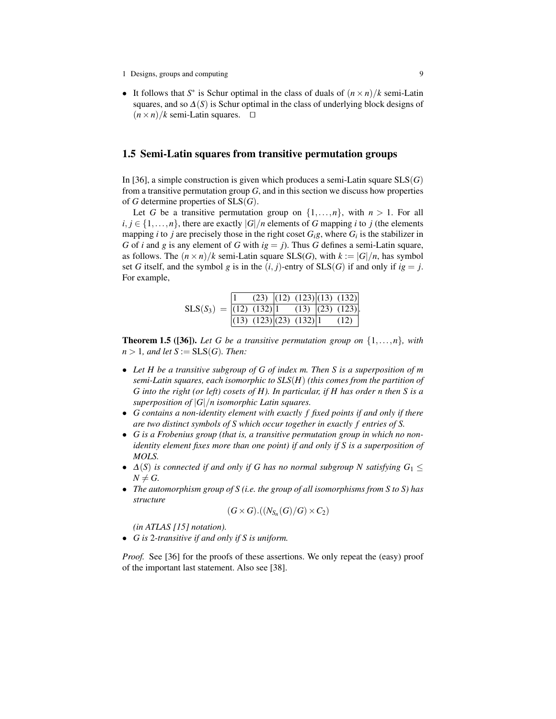• It follows that  $S^*$  is Schur optimal in the class of duals of  $(n \times n)/k$  semi-Latin squares, and so  $\Delta(S)$  is Schur optimal in the class of underlying block designs of  $(n \times n)/k$  semi-Latin squares.  $\square$ 

### 1.5 Semi-Latin squares from transitive permutation groups

In [36], a simple construction is given which produces a semi-Latin square SLS(*G*) from a transitive permutation group *G*, and in this section we discuss how properties of *G* determine properties of SLS(*G*).

Let *G* be a transitive permutation group on  $\{1, \ldots, n\}$ , with  $n > 1$ . For all  $i, j \in \{1, \ldots, n\}$ , there are exactly  $|G|/n$  elements of *G* mapping *i* to *j* (the elements mapping *i* to *j* are precisely those in the right coset  $G_i$ <sup>*g*</sup>, where  $G_i$  is the stabilizer in *G* of *i* and *g* is any element of *G* with  $ig = j$ . Thus *G* defines a semi-Latin square, as follows. The  $(n \times n)/k$  semi-Latin square SLS(*G*), with  $k := |G|/n$ , has symbol set *G* itself, and the symbol *g* is in the  $(i, j)$ -entry of SLS(*G*) if and only if  $ig = j$ . For example,

|                            |                        |  | $(23)$ $ (12)$ $(123)(13)$ $(132) $ |
|----------------------------|------------------------|--|-------------------------------------|
| $SLS(S_3) =  (12) (132) 1$ |                        |  | $(13)$ $ (23)$ $(123)$ .            |
|                            | (13) (123)(23) (132) 1 |  | (12)                                |

**Theorem 1.5 ([36]).** Let G be a transitive permutation group on  $\{1,\ldots,n\}$ , with  $n > 1$ *, and let*  $S := SLS(G)$ *. Then:* 

- *Let H be a transitive subgroup of G of index m. Then S is a superposition of m semi-Latin squares, each isomorphic to SLS*(*H*) *(this comes from the partition of G into the right (or left) cosets of H). In particular, if H has order n then S is a superposition of* |*G*|/*n isomorphic Latin squares.*
- *G contains a non-identity element with exactly f fixed points if and only if there are two distinct symbols of S which occur together in exactly f entries of S.*
- *G is a Frobenius group (that is, a transitive permutation group in which no nonidentity element fixes more than one point) if and only if S is a superposition of MOLS.*
- $\Delta(S)$  *is connected if and only if G has no normal subgroup N satisfying*  $G_1 \leq$  $N \neq G$ .
- *The automorphism group of S (i.e. the group of all isomorphisms from S to S) has structure*

$$
(G\times G).((N_{S_n}(G)/G)\times C_2)
$$

*(in ATLAS [15] notation).*

• *G is* 2*-transitive if and only if S is uniform.*

*Proof.* See [36] for the proofs of these assertions. We only repeat the (easy) proof of the important last statement. Also see [38].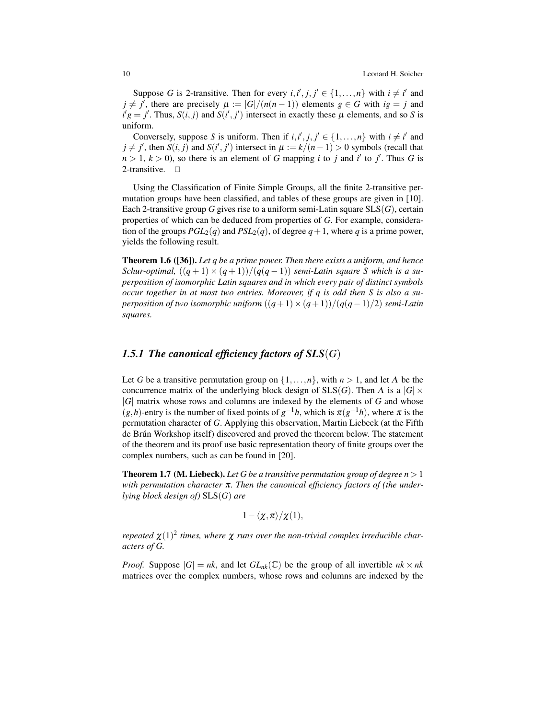Suppose *G* is 2-transitive. Then for every  $i, i', j, j' \in \{1, ..., n\}$  with  $i \neq i'$  and  $j \neq j'$ , there are precisely  $\mu := |G|/(n(n-1))$  elements  $g \in G$  with  $ig = j$  and  $i'g = j'$ . Thus,  $S(i, j)$  and  $S(i', j')$  intersect in exactly these  $\mu$  elements, and so *S* is uniform.

Conversely, suppose *S* is uniform. Then if  $i, i', j, j' \in \{1, ..., n\}$  with  $i \neq i'$  and  $j \neq j'$ , then  $S(i, j)$  and  $S(i', j')$  intersect in  $\mu := k/(n-1) > 0$  symbols (recall that  $n > 1, k > 0$ ), so there is an element of *G* mapping *i* to *j* and *i'* to *j'*. Thus *G* is 2-transitive.  $\square$ 

Using the Classification of Finite Simple Groups, all the finite 2-transitive permutation groups have been classified, and tables of these groups are given in [10]. Each 2-transitive group *G* gives rise to a uniform semi-Latin square SLS(*G*), certain properties of which can be deduced from properties of *G*. For example, consideration of the groups  $PGL_2(q)$  and  $PSL_2(q)$ , of degree  $q+1$ , where q is a prime power, yields the following result.

Theorem 1.6 ([36]). *Let q be a prime power. Then there exists a uniform, and hence Schur-optimal,*  $((q+1) \times (q+1))/(q(q-1))$  *semi-Latin square S which is a superposition of isomorphic Latin squares and in which every pair of distinct symbols occur together in at most two entries. Moreover, if q is odd then S is also a superposition of two isomorphic uniform*  $((q+1) \times (q+1))/(q(q-1)/2)$  *semi-Latin squares.*

### *1.5.1 The canonical efficiency factors of SLS*(*G*)

Let *G* be a transitive permutation group on  $\{1, \ldots, n\}$ , with  $n > 1$ , and let  $\Lambda$  be the concurrence matrix of the underlying block design of  $SLS(G)$ . Then  $\Lambda$  is a  $|G| \times$ |*G*| matrix whose rows and columns are indexed by the elements of *G* and whose  $(g,h)$ -entry is the number of fixed points of  $g^{-1}h$ , which is  $\pi(g^{-1}h)$ , where  $\pi$  is the permutation character of *G*. Applying this observation, Martin Liebeck (at the Fifth de Brún Workshop itself) discovered and proved the theorem below. The statement of the theorem and its proof use basic representation theory of finite groups over the complex numbers, such as can be found in [20].

**Theorem 1.7 (M. Liebeck).** Let G be a transitive permutation group of degree  $n > 1$ *with permutation character* π*. Then the canonical efficiency factors of (the underlying block design of)* SLS(*G*) *are*

$$
1-\langle \chi,\pi\rangle/\chi(1),
$$

*repeated*  $\chi(1)^2$  *times, where*  $\chi$  *runs over the non-trivial complex irreducible characters of G.*

*Proof.* Suppose  $|G| = nk$ , and let  $GL_{nk}(\mathbb{C})$  be the group of all invertible  $nk \times nk$ matrices over the complex numbers, whose rows and columns are indexed by the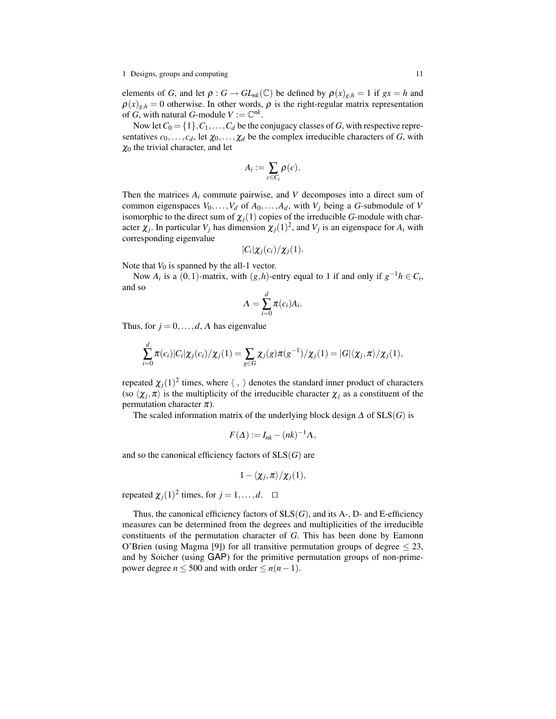1 Designs, groups and computing 11 and 11 and 11 and 11 and 11 and 11 and 11 and 11 and 11 and 11 and 11 and 11 and 11 and 11 and 11 and 11 and 11 and 11 and 11 and 11 and 11 and 12 and 12 and 12 and 12 and 12 and 12 and 1

elements of *G*, and let  $\rho$  :  $G \to GL_{nk}(\mathbb{C})$  be defined by  $\rho(x)_{g,h} = 1$  if  $gx = h$  and  $\rho(x)_{g,h} = 0$  otherwise. In other words,  $\rho$  is the right-regular matrix representation of *G*, with natural *G*-module  $V := \mathbb{C}^{nk}$ .

Now let  $C_0 = \{1\}, C_1, \ldots, C_d$  be the conjugacy classes of *G*, with respective representatives  $c_0, \ldots, c_d$ , let  $\chi_0, \ldots, \chi_d$  be the complex irreducible characters of *G*, with  $\chi_0$  the trivial character, and let

$$
A_i := \sum_{c \in C_i} \rho(c).
$$

Then the matrices  $A_i$  commute pairwise, and  $V$  decomposes into a direct sum of common eigenspaces  $V_0, \ldots, V_d$  of  $A_0, \ldots, A_d$ , with  $V_j$  being a *G*-submodule of *V* isomorphic to the direct sum of  $\chi_j(1)$  copies of the irreducible *G*-module with character  $\chi_j$ . In particular  $V_j$  has dimension  $\chi_j(1)^2$ , and  $V_j$  is an eigenspace for  $A_i$  with corresponding eigenvalue

$$
|C_i|\chi_j(c_i)/\chi_j(1).
$$

Note that  $V_0$  is spanned by the all-1 vector.

Now  $A_i$  is a (0,1)-matrix, with  $(g, h)$ -entry equal to 1 if and only if  $g^{-1}h \in C_i$ , and so

$$
\Lambda = \sum_{i=0}^d \pi(c_i) A_i.
$$

Thus, for  $j = 0, \ldots, d, \Lambda$  has eigenvalue

$$
\sum_{i=0}^d \pi(c_i) |C_i| \chi_j(c_i) / \chi_j(1) = \sum_{g \in G} \chi_j(g) \pi(g^{-1}) / \chi_j(1) = |G| \langle \chi_j, \pi \rangle / \chi_j(1),
$$

repeated  $\chi_j(1)^2$  times, where  $\langle , \rangle$  denotes the standard inner product of characters (so  $\langle \chi_j, \pi \rangle$  is the multiplicity of the irreducible character  $\chi_j$  as a constituent of the permutation character  $\pi$ ).

The scaled information matrix of the underlying block design  $\Delta$  of  $SLS(G)$  is

$$
F(\Delta) := I_{nk} - (nk)^{-1} \Lambda,
$$

and so the canonical efficiency factors of SLS(*G*) are

$$
1-\langle \chi_j,\pi\rangle/\chi_j(1),
$$

repeated  $\chi_j(1)^2$  times, for  $j = 1, ..., d$ .  $\Box$ 

Thus, the canonical efficiency factors of  $SLS(G)$ , and its A-, D- and E-efficiency measures can be determined from the degrees and multiplicities of the irreducible constituents of the permutation character of *G*. This has been done by Eamonn O'Brien (using Magma [9]) for all transitive permutation groups of degree  $\leq$  23, and by Soicher (using GAP) for the primitive permutation groups of non-primepower degree  $n \le 500$  and with order  $\le n(n-1)$ .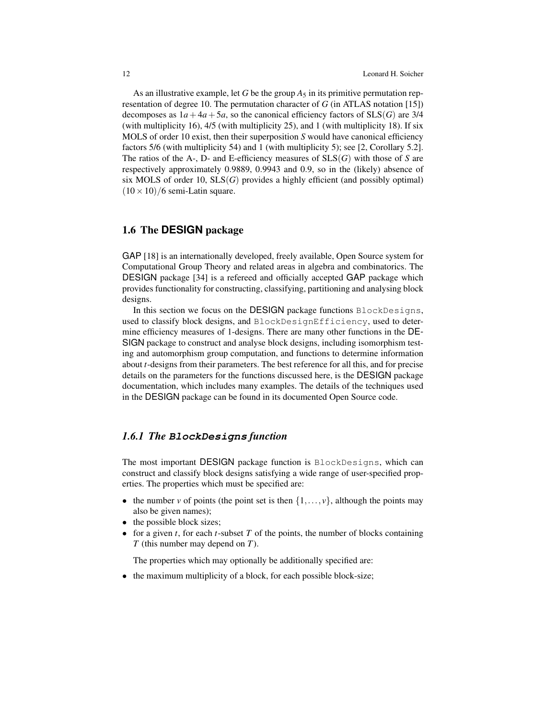As an illustrative example, let *G* be the group  $A_5$  in its primitive permutation representation of degree 10. The permutation character of *G* (in ATLAS notation [15]) decomposes as  $1a+4a+5a$ , so the canonical efficiency factors of  $SLS(G)$  are 3/4 (with multiplicity 16), 4/5 (with multiplicity 25), and 1 (with multiplicity 18). If six MOLS of order 10 exist, then their superposition *S* would have canonical efficiency factors 5/6 (with multiplicity 54) and 1 (with multiplicity 5); see [2, Corollary 5.2]. The ratios of the A-, D- and E-efficiency measures of SLS(*G*) with those of *S* are respectively approximately 0.9889, 0.9943 and 0.9, so in the (likely) absence of six MOLS of order 10, SLS(*G*) provides a highly efficient (and possibly optimal)  $(10 \times 10)/6$  semi-Latin square.

## 1.6 The **DESIGN** package

GAP [18] is an internationally developed, freely available, Open Source system for Computational Group Theory and related areas in algebra and combinatorics. The DESIGN package [34] is a refereed and officially accepted GAP package which provides functionality for constructing, classifying, partitioning and analysing block designs.

In this section we focus on the DESIGN package functions BlockDesigns, used to classify block designs, and BlockDesignEfficiency, used to determine efficiency measures of 1-designs. There are many other functions in the DE-SIGN package to construct and analyse block designs, including isomorphism testing and automorphism group computation, and functions to determine information about *t*-designs from their parameters. The best reference for all this, and for precise details on the parameters for the functions discussed here, is the DESIGN package documentation, which includes many examples. The details of the techniques used in the DESIGN package can be found in its documented Open Source code.

### *1.6.1 The* **BlockDesigns** *function*

The most important DESIGN package function is BlockDesigns, which can construct and classify block designs satisfying a wide range of user-specified properties. The properties which must be specified are:

- the number *v* of points (the point set is then  $\{1,\ldots,v\}$ , although the points may also be given names);
- the possible block sizes;
- for a given *t*, for each *t*-subset *T* of the points, the number of blocks containing *T* (this number may depend on *T*).

The properties which may optionally be additionally specified are:

the maximum multiplicity of a block, for each possible block-size;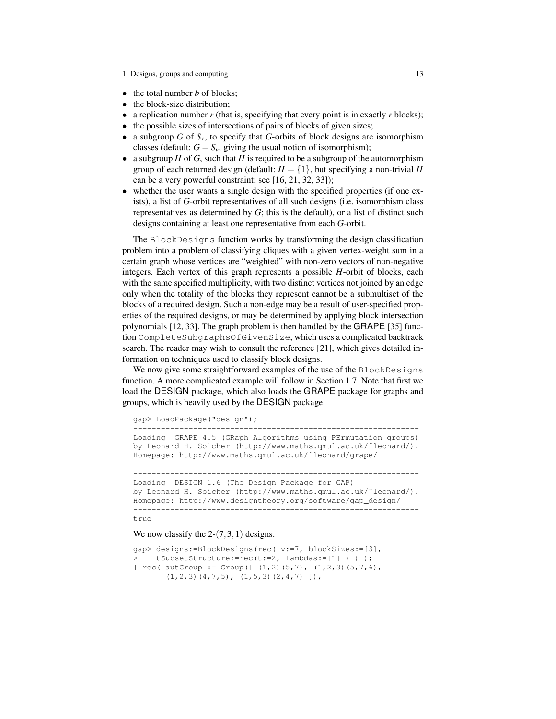- the total number *b* of blocks;
- the block-size distribution:
- a replication number *r* (that is, specifying that every point is in exactly *r* blocks);
- the possible sizes of intersections of pairs of blocks of given sizes;
- a subgroup *G* of  $S_v$ , to specify that *G*-orbits of block designs are isomorphism classes (default:  $G = S_v$ , giving the usual notion of isomorphism);
- a subgroup  $H$  of  $G$ , such that  $H$  is required to be a subgroup of the automorphism group of each returned design (default:  $H = \{1\}$ , but specifying a non-trivial *H* can be a very powerful constraint; see [16, 21, 32, 33]);
- whether the user wants a single design with the specified properties (if one exists), a list of *G*-orbit representatives of all such designs (i.e. isomorphism class representatives as determined by *G*; this is the default), or a list of distinct such designs containing at least one representative from each *G*-orbit.

The BlockDesigns function works by transforming the design classification problem into a problem of classifying cliques with a given vertex-weight sum in a certain graph whose vertices are "weighted" with non-zero vectors of non-negative integers. Each vertex of this graph represents a possible *H*-orbit of blocks, each with the same specified multiplicity, with two distinct vertices not joined by an edge only when the totality of the blocks they represent cannot be a submultiset of the blocks of a required design. Such a non-edge may be a result of user-specified properties of the required designs, or may be determined by applying block intersection polynomials [12, 33]. The graph problem is then handled by the GRAPE [35] function CompleteSubgraphsOfGivenSize, which uses a complicated backtrack search. The reader may wish to consult the reference [21], which gives detailed information on techniques used to classify block designs.

We now give some straightforward examples of the use of the BlockDesigns function. A more complicated example will follow in Section 1.7. Note that first we load the DESIGN package, which also loads the GRAPE package for graphs and groups, which is heavily used by the DESIGN package.

gap> LoadPackage("design");

```
Loading GRAPE 4.5 (GRaph Algorithms using PErmutation groups)
by Leonard H. Soicher (http://www.maths.qmul.ac.uk/˜leonard/).
Homepage: http://www.maths.qmul.ac.uk/˜leonard/grape/
--------------------------------------------------------------
--------------------------------------------------------------
Loading DESIGN 1.6 (The Design Package for GAP)
by Leonard H. Soicher (http://www.maths.qmul.ac.uk/˜leonard/).
Homepage: http://www.designtheory.org/software/gap_design/
--------------------------------------------------------------
```
--------------------------------------------------------------

#### true

#### We now classify the  $2-(7,3,1)$  designs.

```
gap> designs:=BlockDesigns(rec( v:=7, blockSizes:=[3],
> tSubsetStructure:=rec(t:=2, lambdas:=[1] ) ) );
[ rec( autGroup := Group([ (1,2)(5,7), (1,2,3)(5,7,6),
      (1,2,3)(4,7,5), (1,5,3)(2,4,7)]),
```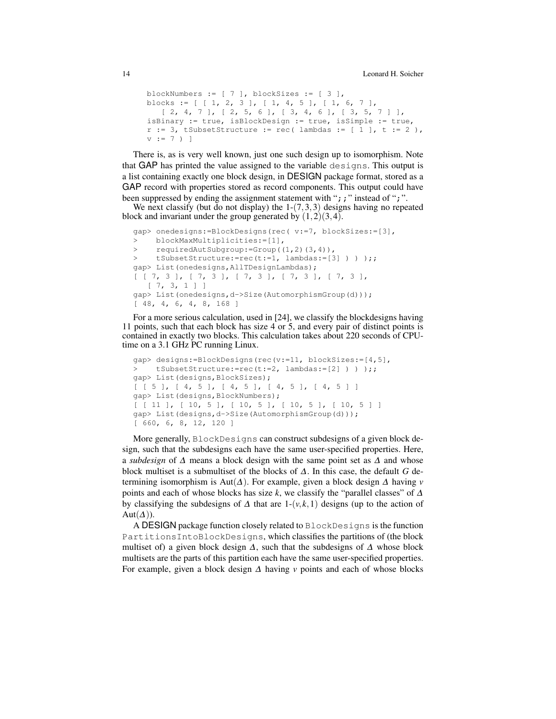```
blockNumbers := [ 7 ], blockSizes := [ 3 ],
blocks := [ [ 1, 2, 3 ], [ 1, 4, 5 ], [ 1, 6, 7 ],[ 2, 4, 7 ], [ 2, 5, 6 ], [ 3, 4, 6 ], [ 3, 5, 7 ] ],
isBinary := true, isBlockDesign := true, isSimple := true,
r := 3, tSubsetStructure := rec( lambdas := [ 1 ], t := 2 ),
v := 7) ]
```
There is, as is very well known, just one such design up to isomorphism. Note that GAP has printed the value assigned to the variable designs. This output is a list containing exactly one block design, in DESIGN package format, stored as a GAP record with properties stored as record components. This output could have been suppressed by ending the assignment statement with ";;" instead of ";".

We next classify (but do not display) the  $1-(7,3,3)$  designs having no repeated block and invariant under the group generated by  $(1,2)(3,4)$ .

```
gap> onedesigns:=BlockDesigns(rec( v:=7, blockSizes:=[3],
> blockMaxMultiplicities:=[1],
> requiredAutSubgroup:=Group((1,2)(3,4)),
> tSubsetStructure:=rec(t:=1, lambdas:=[3] ) ) );;
gap> List(onedesigns,AllTDesignLambdas);
[ [ 7, 3 ], [ 7, 3 ], [ 7, 3 ], [ 7, 3 ], [ 7, 3 ],
  [ 7, 3, 1 ] ]gap> List(onedesigns,d->Size(AutomorphismGroup(d)));
[ 48, 4, 6, 4, 8, 168 ]
```
For a more serious calculation, used in [24], we classify the blockdesigns having 11 points, such that each block has size 4 or 5, and every pair of distinct points is contained in exactly two blocks. This calculation takes about 220 seconds of CPUtime on a 3.1 GHz PC running Linux.

```
gap> designs:=BlockDesigns(rec(v:=11, blockSizes:=[4,5],
> tSubsetStructure:=rec(t:=2, lambdas:=[2] ) ) );;
gap> List(designs,BlockSizes);
[ [ 5 ], [ 4, 5 ], [ 4, 5 ], [ 4, 5 ], [ 4, 5 ] ]
gap> List(designs,BlockNumbers);
[ [ 11 ], [ 10, 5 ], [ 10, 5 ], [ 10, 5 ], [ 10, 5 ] ]
gap> List(designs,d->Size(AutomorphismGroup(d)));
[ 660, 6, 8, 12, 120 ]
```
More generally, BlockDesigns can construct subdesigns of a given block design, such that the subdesigns each have the same user-specified properties. Here, a *subdesign* of ∆ means a block design with the same point set as ∆ and whose block multiset is a submultiset of the blocks of ∆. In this case, the default *G* determining isomorphism is Aut(∆). For example, given a block design ∆ having *v* points and each of whose blocks has size *k*, we classify the "parallel classes" of ∆ by classifying the subdesigns of  $\Delta$  that are 1-( $v, k, 1$ ) designs (up to the action of Aut $(\Delta)$ ).

A DESIGN package function closely related to BlockDesigns is the function PartitionsIntoBlockDesigns, which classifies the partitions of (the block multiset of) a given block design  $\Delta$ , such that the subdesigns of  $\Delta$  whose block multisets are the parts of this partition each have the same user-specified properties. For example, given a block design ∆ having *v* points and each of whose blocks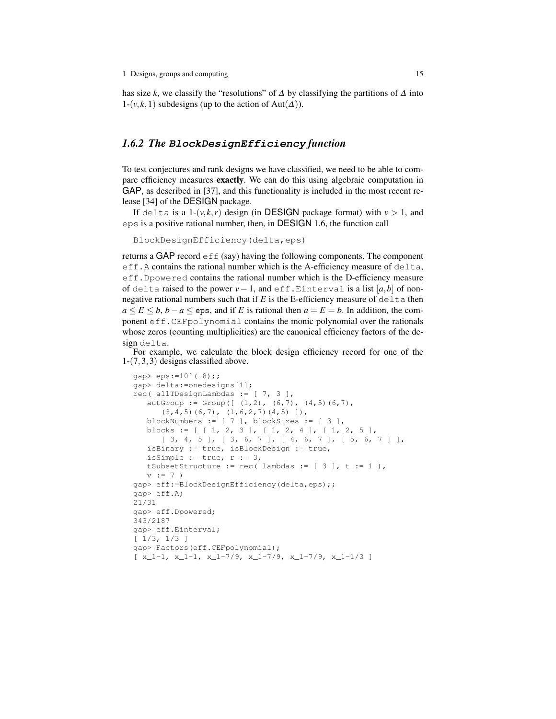has size *k*, we classify the "resolutions" of  $\Delta$  by classifying the partitions of  $\Delta$  into  $1-(v, k, 1)$  subdesigns (up to the action of Aut $(\Delta)$ ).

### *1.6.2 The* **BlockDesignEfficiency** *function*

To test conjectures and rank designs we have classified, we need to be able to compare efficiency measures exactly. We can do this using algebraic computation in GAP, as described in [37], and this functionality is included in the most recent release [34] of the DESIGN package.

If delta is a  $1-(v, k, r)$  design (in DESIGN package format) with  $v > 1$ , and eps is a positive rational number, then, in DESIGN 1.6, the function call

```
BlockDesignEfficiency(delta,eps)
```
returns a GAP record  $\epsilon$  f  $f$  (say) having the following components. The component eff.A contains the rational number which is the A-efficiency measure of delta, eff.Dpowered contains the rational number which is the D-efficiency measure of delta raised to the power  $v - 1$ , and eff.Einterval is a list  $[a,b]$  of nonnegative rational numbers such that if  $E$  is the E-efficiency measure of delta then  $a \le E \le b$ ,  $b - a \le e$  ps, and if *E* is rational then  $a = E = b$ . In addition, the component eff.CEFpolynomial contains the monic polynomial over the rationals whose zeros (counting multiplicities) are the canonical efficiency factors of the design delta.

For example, we calculate the block design efficiency record for one of the 1-(7,3,3) designs classified above.

```
qap> eps:=10^{\degree}(-8);
gap> delta:=onedesigns[1];
rec( allTDesignLambdas := [ 7, 3 ],
   autGroup := Group([ (1,2), (6,7), (4,5)(6,7),
      (3,4,5)(6,7), (1,6,2,7)(4,5)]),
   blockNumbers := [ 7 ], blockSizes := [ 3 ],
   blocks := [ [ 1, 2, 3 ], [ 1, 2, 4 ], [ 1, 2, 5 ],[ 3, 4, 5 ], [ 3, 6, 7 ], [ 4, 6, 7 ], [ 5, 6, 7 ] ],
   isBinary := true, isBlockDesign := true,
   isSimple := true, r := 3,
  tSubsetStructure := rec( lambdas := [3], t := 1),
   v := 7gap> eff:=BlockDesignEfficiency(delta,eps);;
gap> eff.A;
21/31
gap> eff.Dpowered;
343/2187
gap> eff.Einterval;
[ 1/3, 1/3 ]
gap> Factors(eff.CEFpolynomial);
[x_1-1, x_1-1, x_1-7/9, x_1-7/9, x_1-7/9, x_1-1/3]
```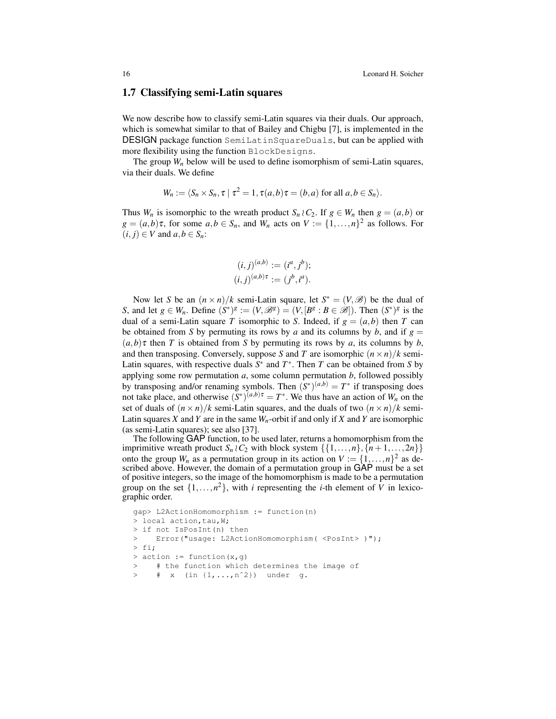### 1.7 Classifying semi-Latin squares

We now describe how to classify semi-Latin squares via their duals. Our approach, which is somewhat similar to that of Bailey and Chigbu [7], is implemented in the DESIGN package function SemiLatinSquareDuals, but can be applied with more flexibility using the function BlockDesigns.

The group  $W_n$  below will be used to define isomorphism of semi-Latin squares, via their duals. We define

$$
W_n := \langle S_n \times S_n, \tau \mid \tau^2 = 1, \tau(a, b)\tau = (b, a) \text{ for all } a, b \in S_n \rangle.
$$

Thus  $W_n$  is isomorphic to the wreath product  $S_n \wr C_2$ . If  $g \in W_n$  then  $g = (a, b)$  or  $g = (a,b)\tau$ , for some  $a,b \in S_n$ , and  $W_n$  acts on  $V := \{1,\ldots,n\}^2$  as follows. For  $(i, j) \in V$  and  $a, b \in S_n$ :

$$
(i, j)^{(a,b)} := (i^a, j^b);
$$
  
 $(i, j)^{(a,b)\tau} := (j^b, i^a).$ 

Now let *S* be an  $(n \times n)/k$  semi-Latin square, let  $S^* = (V, \mathcal{B})$  be the dual of *S*, and let  $g \in W_n$ . Define  $(S^*)^g := (V, \mathcal{B}^g) = (V, [B^g : B \in \mathcal{B}])$ . Then  $(S^*)^g$  is the dual of a semi-Latin square *T* isomorphic to *S*. Indeed, if  $g = (a, b)$  then *T* can be obtained from *S* by permuting its rows by *a* and its columns by *b*, and if  $g =$  $(a,b)$ <sup> $\tau$ </sup> then *T* is obtained from *S* by permuting its rows by *a*, its columns by *b*, and then transposing. Conversely, suppose *S* and *T* are isomorphic  $(n \times n)/k$  semi-Latin squares, with respective duals  $S^*$  and  $T^*$ . Then  $T$  can be obtained from  $S$  by applying some row permutation *a*, some column permutation *b*, followed possibly by transposing and/or renaming symbols. Then  $(S^*)^{(a,b)} = T^*$  if transposing does not take place, and otherwise  $(S^*)^{(a,b)\tau} = T^*$ . We thus have an action of  $W_n$  on the set of duals of  $(n \times n)/k$  semi-Latin squares, and the duals of two  $(n \times n)/k$  semi-Latin squares *X* and *Y* are in the same  $W_n$ -orbit if and only if *X* and *Y* are isomorphic (as semi-Latin squares); see also [37].

The following GAP function, to be used later, returns a homomorphism from the imprimitive wreath product  $S_n \nvert C_2$  with block system  $\{\{1,\ldots,n\},\{n+1,\ldots,2n\}\}\$ onto the group  $W_n$  as a permutation group in its action on  $V := \{1, \ldots, n\}^2$  as described above. However, the domain of a permutation group in GAP must be a set of positive integers, so the image of the homomorphism is made to be a permutation group on the set  $\{1, \ldots, n^2\}$ , with *i* representing the *i*-th element of *V* in lexicographic order.

```
gap> L2ActionHomomorphism := function(n)
> local action, tau, W;
> if not IsPosInt(n) then
> Error("usage: L2ActionHomomorphism( <PosInt> )");
> fi;
> action := function(x,q)
> # the function which determines the image of
     # x (in \{1, ..., n^2\}) under g.
```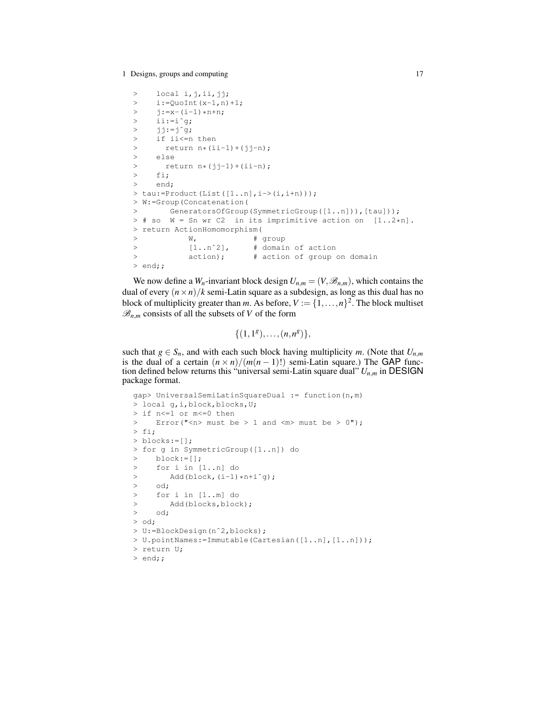```
> local i, j, ii, jj;
> i:=QuoInt(x-1,n)+1;\frac{1}{7}: =x-(i-1) *n+n;
> ii:=iˆg;
> jj:=jˆg;
> if ii<=n then
> return n*(i i-1)+(j j-n);> else
> return n*(jj-1)+(ii-n);<br>> fi:
    > fi;
> end;
> \text{tau}:=\text{Product}(\text{List}([1..n], i->(i, i+n)));
> W:=Group(Concatenation(
> GeneratorsOfGroup(SymmetricGroup([1..n])),[tau]));
> # so W = Sn wr C2 in its imprimitive action on [1..2*n].
> return ActionHomomorphism(
> W, # group
> [1..n^2], # domain of action
> action); # action of group on domain
> end;;
```
We now define a  $W_n$ -invariant block design  $U_{n,m} = (V, \mathcal{B}_{n,m})$ , which contains the dual of every  $(n \times n)/k$  semi-Latin square as a subdesign, as long as this dual has no block of multiplicity greater than *m*. As before,  $V := \{1, ..., n\}^2$ . The block multiset  $\mathscr{B}_{n,m}$  consists of all the subsets of *V* of the form

$$
\{(1,1^g),\ldots,(n,n^g)\},\
$$

such that  $g \in S_n$ , and with each such block having multiplicity *m*. (Note that  $U_{n,m}$ is the dual of a certain  $(n \times n)/(m(n-1)!)$  semi-Latin square.) The GAP function defined below returns this "universal semi-Latin square dual" *Un*,*<sup>m</sup>* in DESIGN package format.

```
gap> UniversalSemiLatinSquareDual := function(n,m)
> local g,i,block,blocks,U;
> if n<=1 or m<=0 then
> Error("<n> must be > 1 and <m> must be > 0");
> fi;
> blocks:=[];
> for g in SymmetricGroup([1..n]) do
> block:=[];
> for i in [1..n] do
> Add(bllock, (i-1)*n+i^q);> od;
> for i in [1..m] do
> Add(blocks, block);
> od;
> od;
> U:=BlockDesign(nˆ2,blocks);
> U.pointNames:=Immutable(Cartesian([1..n],[1..n]));
> return U;
> end;;
```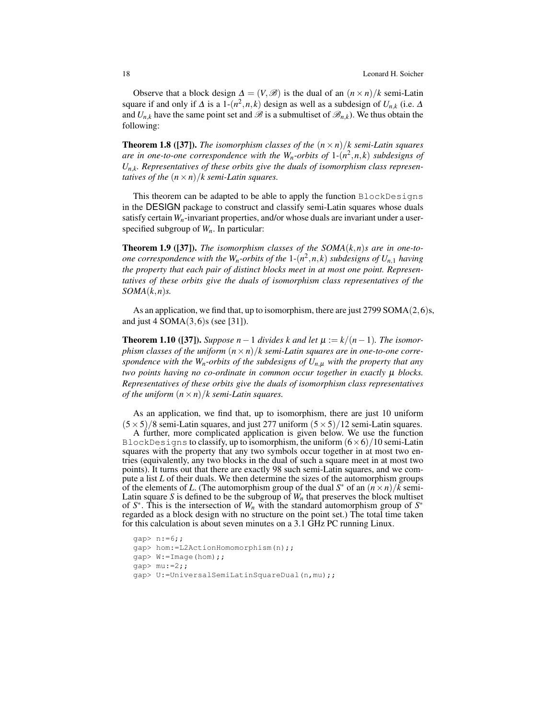Observe that a block design  $\Delta = (V, \mathcal{B})$  is the dual of an  $(n \times n)/k$  semi-Latin square if and only if  $\Delta$  is a 1- $(n^2, n, k)$  design as well as a subdesign of  $U_{n,k}$  (i.e.  $\Delta$ and  $U_{n,k}$  have the same point set and  $\mathscr{B}$  is a submultiset of  $\mathscr{B}_{n,k}$ ). We thus obtain the following:

**Theorem 1.8 ([37]).** *The isomorphism classes of the*  $(n \times n)/k$  *semi-Latin squares are in one-to-one correspondence with the Wn-orbits of* 1*-*(*n* 2 ,*n*, *k*) *subdesigns of Un*,*<sup>k</sup> . Representatives of these orbits give the duals of isomorphism class representatives of the*  $(n \times n)/k$  *semi-Latin squares.* 

This theorem can be adapted to be able to apply the function BlockDesigns in the DESIGN package to construct and classify semi-Latin squares whose duals satisfy certain  $W_n$ -invariant properties, and/or whose duals are invariant under a userspecified subgroup of *Wn*. In particular:

**Theorem 1.9 ([37]).** *The isomorphism classes of the SOMA* $(k, n)$ *s are in one-toone correspondence with the Wn-orbits of the* 1*-*(*n* 2 ,*n*, *k*) *subdesigns of Un*,<sup>1</sup> *having the property that each pair of distinct blocks meet in at most one point. Representatives of these orbits give the duals of isomorphism class representatives of the SOMA*(*k*,*n*)*s.*

As an application, we find that, up to isomorphism, there are just 2799 SOMA(2,6)s, and just 4 SOMA $(3,6)$ s (see [31]).

**Theorem 1.10 ([37]).** *Suppose*  $n-1$  *divides*  $k$  *and let*  $μ := k/(n-1)$ *. The isomorphism classes of the uniform*  $(n \times n)/k$  *semi-Latin squares are in one-to-one correspondence with the Wn-orbits of the subdesigns of Un*,<sup>µ</sup> *with the property that any two points having no co-ordinate in common occur together in exactly* µ *blocks. Representatives of these orbits give the duals of isomorphism class representatives of the uniform*  $(n \times n)/k$  *semi-Latin squares.* 

As an application, we find that, up to isomorphism, there are just 10 uniform  $(5 \times 5)/8$  semi-Latin squares, and just 277 uniform  $(5 \times 5)/12$  semi-Latin squares.

A further, more complicated application is given below. We use the function BlockDesigns to classify, up to isomorphism, the uniform  $(6\times6)/10$  semi-Latin squares with the property that any two symbols occur together in at most two entries (equivalently, any two blocks in the dual of such a square meet in at most two points). It turns out that there are exactly 98 such semi-Latin squares, and we compute a list *L* of their duals. We then determine the sizes of the automorphism groups of the elements of *L*. (The automorphism group of the dual  $S^*$  of an  $(n \times n)/\overline{k}$  semi-Latin square *S* is defined to be the subgroup of  $W<sub>n</sub>$  that preserves the block multiset of  $S^*$ . This is the intersection of  $W_n$  with the standard automorphism group of  $S^*$ regarded as a block design with no structure on the point set.) The total time taken for this calculation is about seven minutes on a 3.1 GHz PC running Linux.

```
gap> n:=6;;
gap> hom:=L2ActionHomomorphism(n);;
gap> W:=Image(hom);;
qap> mu:=2;;
gap> U:=UniversalSemiLatinSquareDual(n,mu);;
```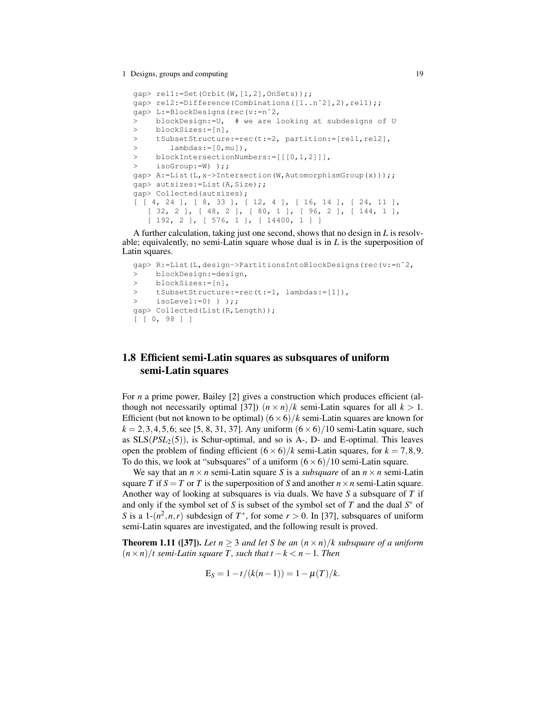```
gap> rel1:=Set(Orbit(W,[1,2],OnSets));;
gap> rel2:=Difference(Combinations([1..nˆ2],2),rel1);;
gap> L:=BlockDesigns(rec(v:=nˆ2,
> blockDesign:=U, # we are looking at subdesigns of U
> blockSizes:=[n],
> tSubsetStructure:=rec(t:=2, partition:=[rel1,rel2],
> lambdas:=[0,mu]),
> blockIntersectionNumbers:=[[[0,1,2]]],
> isoGroup:=W) );;
gap> A:=List(L,x->Intersection(W,AutomorphismGroup(x)));;
gap> autsizes:=List(A,Size);;
gap> Collected(autsizes);
[ [ 4, 24 ], [ 8, 33 ], [ 12, 4 ], [ 16, 14 ], [ 24, 11 ],
   [ 32, 2 ], [ 48, 2 ], [ 80, 1 ], [ 96, 2 ], [ 144, 1 ],
   [ 192, 2 ], [ 576, 1 ], [ 14400, 1 ] ]
```
A further calculation, taking just one second, shows that no design in *L* is resolvable; equivalently, no semi-Latin square whose dual is in *L* is the superposition of Latin squares.

```
gap> R:=List(L,design->PartitionsIntoBlockDesigns(rec(v:=nˆ2,
> blockDesign:=design,
> blockSizes:=[n],
> tSubsetStructure:=rec(t:=1, lambdas:=[1]),
> isoLevel:=0) ) );;
gap> Collected(List(R,Length));
[ [ 0, 98 ] ]
```
## 1.8 Efficient semi-Latin squares as subsquares of uniform semi-Latin squares

For *n* a prime power, Bailey [2] gives a construction which produces efficient (although not necessarily optimal [37])  $(n \times n)/k$  semi-Latin squares for all  $k > 1$ . Efficient (but not known to be optimal)  $(6 \times 6)/k$  semi-Latin squares are known for  $k = 2, 3, 4, 5, 6$ ; see [5, 8, 31, 37]. Any uniform  $(6 \times 6)/10$  semi-Latin square, such as  $SLS(PSL<sub>2</sub>(5))$ , is Schur-optimal, and so is A-, D- and E-optimal. This leaves open the problem of finding efficient  $(6 \times 6)/k$  semi-Latin squares, for  $k = 7,8,9$ . To do this, we look at "subsquares" of a uniform  $(6 \times 6)/10$  semi-Latin square.

We say that an  $n \times n$  semi-Latin square *S* is a *subsquare* of an  $n \times n$  semi-Latin square *T* if  $S = T$  or *T* is the superposition of *S* and another  $n \times n$  semi-Latin square. Another way of looking at subsquares is via duals. We have *S* a subsquare of *T* if and only if the symbol set of *S* is subset of the symbol set of *T* and the dual *S* <sup>∗</sup> of *S* is a 1- $(n^2, n, r)$  subdesign of  $T^*$ , for some  $r > 0$ . In [37], subsquares of uniform semi-Latin squares are investigated, and the following result is proved.

**Theorem 1.11** ([37]). Let  $n \geq 3$  and let S be an  $(n \times n)/k$  subsquare of a uniform  $(n \times n)/t$  semi-Latin square T, such that  $t - k < n - 1$ . Then

$$
E_S = 1 - t/(k(n-1)) = 1 - \mu(T)/k.
$$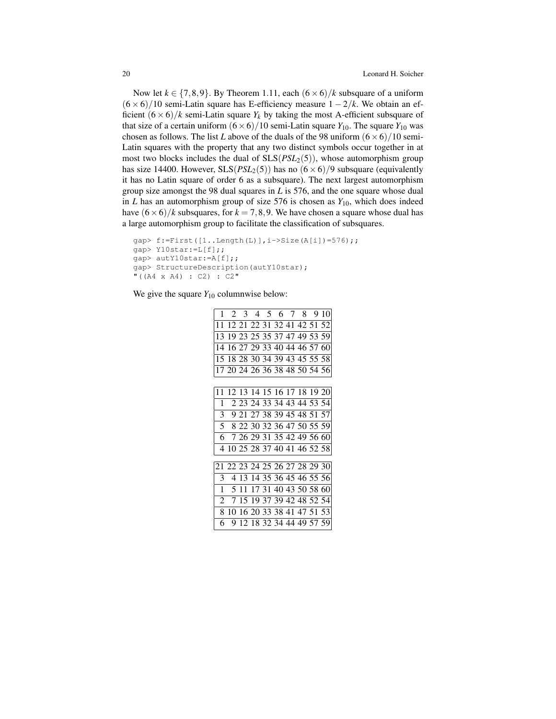Now let  $k \in \{7, 8, 9\}$ . By Theorem 1.11, each  $(6 \times 6)/k$  subsquare of a uniform  $(6 \times 6)/10$  semi-Latin square has E-efficiency measure  $1 - 2/k$ . We obtain an efficient  $(6 \times 6)/k$  semi-Latin square  $Y_k$  by taking the most A-efficient subsquare of that size of a certain uniform  $(6 \times 6)/10$  semi-Latin square  $Y_{10}$ . The square  $Y_{10}$  was chosen as follows. The list *L* above of the duals of the 98 uniform  $(6 \times 6)/10$  semi-Latin squares with the property that any two distinct symbols occur together in at most two blocks includes the dual of SLS(*PSL*2(5)), whose automorphism group has size 14400. However,  $SLS(PSL<sub>2</sub>(5))$  has no  $(6 \times 6)/9$  subsquare (equivalently it has no Latin square of order 6 as a subsquare). The next largest automorphism group size amongst the 98 dual squares in *L* is 576, and the one square whose dual in  $L$  has an automorphism group of size 576 is chosen as  $Y_{10}$ , which does indeed have  $(6 \times 6)/k$  subsquares, for  $k = 7,8,9$ . We have chosen a square whose dual has a large automorphism group to facilitate the classification of subsquares.

```
gap & f := First([1..Length(L)], i > Size(A[i]) = 576);gap> Y10star:=L[f];;
gap> autY10star:=A[f];;
gap> StructureDescription(autY10star);
"((A4 \times A4) :: C2) :: C2"
```
We give the square  $Y_{10}$  columnwise below:

| 1               |       |  |  |                               | 2 3 4 5 6 7 8 9 10            |
|-----------------|-------|--|--|-------------------------------|-------------------------------|
| 11              |       |  |  | 12 21 22 31 32 41 42 51 52    |                               |
| 13              |       |  |  | 19 23 25 35 37 47 49 53 59    |                               |
| 14              |       |  |  |                               | 16 27 29 33 40 44 46 57 60    |
|                 |       |  |  | 15 18 28 30 34 39 43 45 55 58 |                               |
|                 |       |  |  |                               | 17 20 24 26 36 38 48 50 54 56 |
|                 |       |  |  |                               |                               |
| $\overline{11}$ |       |  |  | 12 13 14 15 16 17 18 19 20    |                               |
| 1               |       |  |  | 2 23 24 33 34 43 44 53 54     |                               |
| 3               |       |  |  | 9 21 27 38 39 45 48 51 57     |                               |
|                 |       |  |  | 5 8 22 30 32 36 47 50 55 59   |                               |
| 6.              |       |  |  | 7 26 29 31 35 42 49 56 60     |                               |
|                 |       |  |  | 4 10 25 28 37 40 41 46 52 58  |                               |
|                 |       |  |  |                               |                               |
|                 |       |  |  |                               | 21 22 23 24 25 26 27 28 29 30 |
| 3               |       |  |  | 4 13 14 35 36 45 46 55 56     |                               |
| 1               | 5 1 1 |  |  | 17 31 40 43 50 58 60          |                               |
| 2               |       |  |  |                               | 7 15 19 37 39 42 48 52 54     |
| 8               |       |  |  |                               | 10 16 20 33 38 41 47 51 53    |
| 6               |       |  |  | 9 12 18 32 34 44 49 57 59     |                               |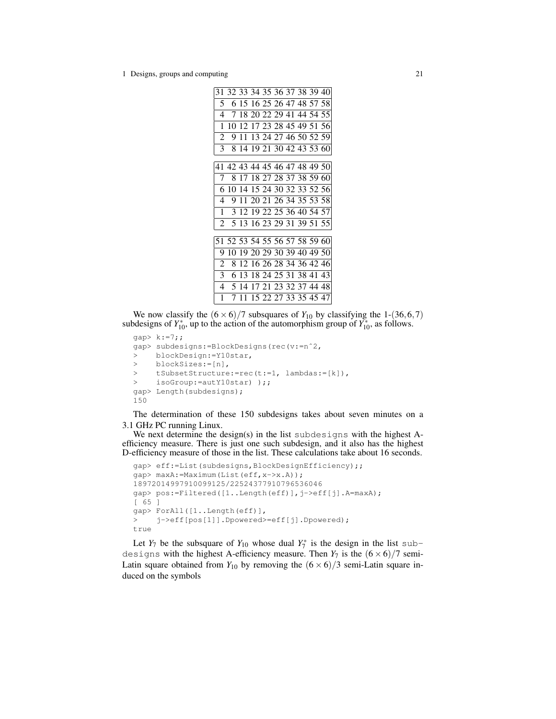|                |   |  |  |                             | 31 32 33 34 35 36 37 38 39 40 |
|----------------|---|--|--|-----------------------------|-------------------------------|
| 5              |   |  |  | 6 15 16 25 26 47 48 57 58   |                               |
| 4              | 7 |  |  | 18 20 22 29 41 44 54 55     |                               |
| 1              |   |  |  | 10 12 17 23 28 45 49 51 56  |                               |
| 2              |   |  |  | 9 11 13 24 27 46 50 52 59   |                               |
| 3              |   |  |  |                             | 8 14 19 21 30 42 43 53 60     |
|                |   |  |  |                             |                               |
|                |   |  |  |                             | 41 42 43 44 45 46 47 48 49 50 |
| 7              |   |  |  | 8 17 18 27 28 37 38 59 60   |                               |
| 6              |   |  |  | 10 14 15 24 30 32 33 52 56  |                               |
| 4              | 9 |  |  | 11 20 21 26 34 35 53 58     |                               |
| 1              |   |  |  |                             | 3 12 19 22 25 36 40 54 57     |
|                |   |  |  | 2 5 13 16 23 29 31 39 51 55 |                               |
|                |   |  |  |                             |                               |
|                |   |  |  |                             | 51 52 53 54 55 56 57 58 59 60 |
| 9              |   |  |  | 10 19 20 29 30 39 40 49 50  |                               |
| $\overline{2}$ |   |  |  | 8 12 16 26 28 34 36 42 46   |                               |
| 3 <sup>1</sup> |   |  |  | 6 13 18 24 25 31 38 41 43   |                               |
|                |   |  |  | 4 5 14 17 21 23 32 37 44 48 |                               |
| 1              |   |  |  | 7 11 15 22 27 33 35 45 47   |                               |
|                |   |  |  |                             |                               |

We now classify the  $(6 \times 6)/7$  subsquares of  $Y_{10}$  by classifying the 1-(36,6,7) subdesigns of  $Y_{10}^*$ , up to the action of the automorphism group of  $Y_{10}^*$ , as follows.

```
gap> k:=7;;
gap> subdesigns:=BlockDesigns(rec(v:=nˆ2,
> blockDesign:=Y10star,
> blockSizes:=[n],
> tSubsetStructure:=rec(t:=1, lambdas:=[k]),
> isoGroup:=autY10star) );;
gap> Length(subdesigns);
150
```
The determination of these 150 subdesigns takes about seven minutes on a 3.1 GHz PC running Linux.

We next determine the design(s) in the list subdesigns with the highest Aefficiency measure. There is just one such subdesign, and it also has the highest D-efficiency measure of those in the list. These calculations take about 16 seconds.

```
gap> eff:=List(subdesigns,BlockDesignEfficiency);;
gap> maxA:=Maximum(List(eff,x->x.A));
18972014997910099125/22524377910796536046
gap> pos:=Filtered([1..Length(eff)],j->eff[j].A=maxA);
[ 65 ]
gap> ForAll([1..Length(eff)],
> j->eff[pos[1]].Dpowered>=eff[j].Dpowered);
true
```
Let  $Y_7$  be the subsquare of  $Y_{10}$  whose dual  $Y_7^*$  is the design in the list subdesigns with the highest A-efficiency measure. Then  $Y_7$  is the  $(6 \times 6)/7$  semi-Latin square obtained from  $Y_{10}$  by removing the  $(6 \times 6)/3$  semi-Latin square induced on the symbols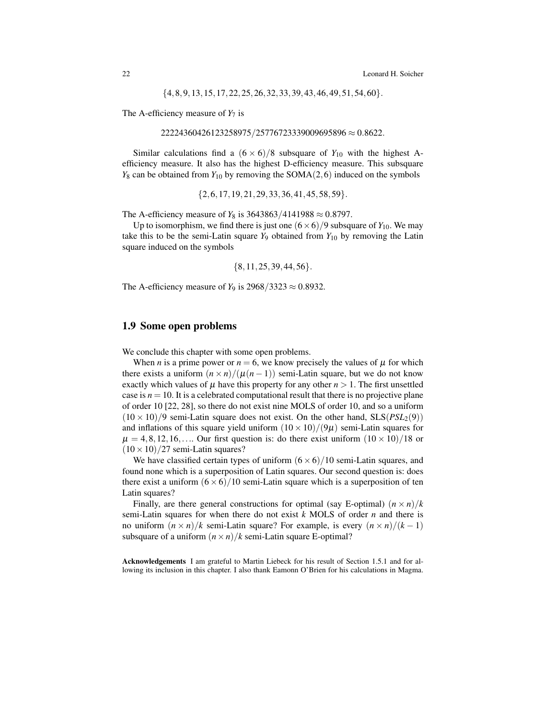$\{4,8,9,13,15,17,22,25,26,32,33,39,43,46,49,51,54,60\}.$ 

The A-efficiency measure of  $Y_7$  is

```
22224360426123258975/25776723339009695896 \approx 0.8622.
```
Similar calculations find a  $(6 \times 6)/8$  subsquare of  $Y_{10}$  with the highest Aefficiency measure. It also has the highest D-efficiency measure. This subsquare  $Y_8$  can be obtained from  $Y_{10}$  by removing the SOMA(2,6) induced on the symbols

 ${2, 6, 17, 19, 21, 29, 33, 36, 41, 45, 58, 59}.$ 

The A-efficiency measure of *Y*<sub>8</sub> is 3643863/4141988 ≈ 0.8797.

Up to isomorphism, we find there is just one  $(6 \times 6)/9$  subsquare of  $Y_{10}$ . We may take this to be the semi-Latin square  $Y_9$  obtained from  $Y_{10}$  by removing the Latin square induced on the symbols

$$
\{8, 11, 25, 39, 44, 56\}.
$$

The A-efficiency measure of  $Y_9$  is 2968/3323  $\approx 0.8932$ .

### 1.9 Some open problems

We conclude this chapter with some open problems.

When *n* is a prime power or  $n = 6$ , we know precisely the values of  $\mu$  for which there exists a uniform  $(n \times n) / (\mu(n-1))$  semi-Latin square, but we do not know exactly which values of  $\mu$  have this property for any other  $n > 1$ . The first unsettled case is  $n = 10$ . It is a celebrated computational result that there is no projective plane of order 10 [22, 28], so there do not exist nine MOLS of order 10, and so a uniform  $(10 \times 10)/9$  semi-Latin square does not exist. On the other hand,  $SLS(PSL<sub>2</sub>(9))$ and inflations of this square yield uniform  $(10 \times 10)/(9\mu)$  semi-Latin squares for  $\mu = 4, 8, 12, 16, \ldots$  Our first question is: do there exist uniform  $(10 \times 10)/18$  or  $(10 \times 10)/27$  semi-Latin squares?

We have classified certain types of uniform  $(6 \times 6)/10$  semi-Latin squares, and found none which is a superposition of Latin squares. Our second question is: does there exist a uniform  $(6 \times 6)/10$  semi-Latin square which is a superposition of ten Latin squares?

Finally, are there general constructions for optimal (say E-optimal)  $(n \times n)/k$ semi-Latin squares for when there do not exist *k* MOLS of order *n* and there is no uniform  $(n \times n)/k$  semi-Latin square? For example, is every  $(n \times n)/(k-1)$ subsquare of a uniform  $(n \times n)/k$  semi-Latin square E-optimal?

Acknowledgements I am grateful to Martin Liebeck for his result of Section 1.5.1 and for allowing its inclusion in this chapter. I also thank Eamonn O'Brien for his calculations in Magma.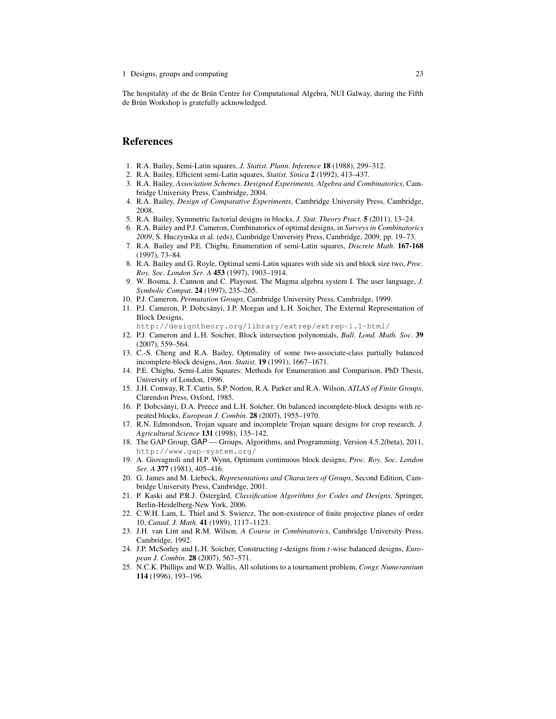The hospitality of the de Brún Centre for Computational Algebra, NUI Galway, during the Fifth de Brún Workshop is gratefully acknowledged.

### References

- 1. R.A. Bailey, Semi-Latin squares, *J. Statist. Plann. Inference* 18 (1988), 299–312.
- 2. R.A. Bailey, Efficient semi-Latin squares, *Statist. Sinica* 2 (1992), 413–437.
- 3. R.A. Bailey, *Association Schemes. Designed Experiments, Algebra and Combinatorics*, Cambridge University Press, Cambridge, 2004.
- 4. R.A. Bailey, *Design of Comparative Experiments*, Cambridge University Press, Cambridge, 2008.
- 5. R.A. Bailey, Symmetric factorial designs in blocks, *J. Stat. Theory Pract.* 5 (2011), 13–24.
- 6. R.A. Bailey and P.J. Cameron, Combinatorics of optimal designs, in *Surveys in Combinatorics 2009*, S. Huczynska et al. (eds), Cambridge University Press, Cambridge, 2009, pp. 19–73.
- 7. R.A. Bailey and P.E. Chigbu, Enumeration of semi-Latin squares, *Discrete Math.* 167-168 (1997), 73–84.
- 8. R.A. Bailey and G. Royle, Optimal semi-Latin squares with side six and block size two, *Proc. Roy. Soc. London Ser. A* 453 (1997), 1903–1914.
- 9. W. Bosma, J. Cannon and C. Playoust, The Magma algebra system I. The user language, *J. Symbolic Comput.* 24 (1997), 235–265.
- 10. P.J. Cameron, *Permutation Groups*, Cambridge University Press, Cambridge, 1999.
- 11. P.J. Cameron, P. Dobcsanyi, J.P. Morgan and L.H. Soicher, The External Representation of ´ Block Designs,
	- http://designtheory.org/library/extrep/extrep-1.1-html/
- 12. P.J. Cameron and L.H. Soicher, Block intersection polynomials, *Bull. Lond. Math. Soc.* 39 (2007), 559–564.
- 13. C.-S. Cheng and R.A. Bailey, Optimality of some two-associate-class partially balanced incomplete-block designs, *Ann. Statist.* 19 (1991), 1667–1671.
- 14. P.E. Chigbu, Semi-Latin Squares: Methods for Enumeration and Comparison, PhD Thesis, University of London, 1996.
- 15. J.H. Conway, R.T. Curtis, S.P. Norton, R.A. Parker and R.A. Wilson, *ATLAS of Finite Groups*, Clarendon Press, Oxford, 1985.
- 16. P. Dobcsanyi, D.A. Preece and L.H. Soicher, On balanced incomplete-block designs with re- ´ peated blocks, *European J. Combin.* 28 (2007), 1955–1970.
- 17. R.N. Edmondson, Trojan square and incomplete Trojan square designs for crop research, *J. Agricultural Science* 131 (1998), 135–142.
- 18. The GAP Group, GAP Groups, Algorithms, and Programming, Version 4.5.2(beta), 2011, http://www.gap-system.org/
- 19. A. Giovagnoli and H.P. Wynn, Optimum continuous block designs, *Proc. Roy. Soc. London Ser. A* 377 (1981), 405–416.
- 20. G. James and M. Liebeck, *Representations and Characters of Groups*, Second Edition, Cambridge University Press, Cambridge, 2001.
- 21. P. Kaski and P.R.J. Östergård, *Classification Algorithms for Codes and Designs*, Springer, Berlin-Heidelberg-New York, 2006.
- 22. C.W.H. Lam, L. Thiel and S. Swiercz, The non-existence of finite projective planes of order 10, *Canad. J. Math.* 41 (1989), 1117–1123.
- 23. J.H. van Lint and R.M. Wilson, *A Course in Combinatorics*, Cambridge University Press, Cambridge, 1992.
- 24. J.P. McSorley and L.H. Soicher, Constructing *t*-designs from *t*-wise balanced designs, *European J. Combin.* 28 (2007), 567–571.
- 25. N.C.K. Phillips and W.D. Wallis, All solutions to a tournament problem, *Congr. Numerantium* 114 (1996), 193–196.